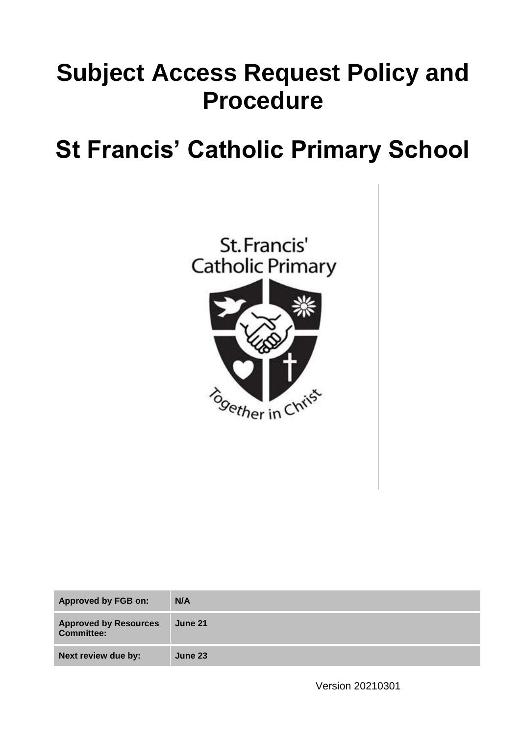# **Subject Access Request Policy and Procedure**

## **St Francis' Catholic Primary School**



| <b>Approved by FGB on:</b>                        | N/A     |
|---------------------------------------------------|---------|
| <b>Approved by Resources</b><br><b>Committee:</b> | June 21 |
| Next review due by:                               | June 23 |
|                                                   |         |

Version 20210301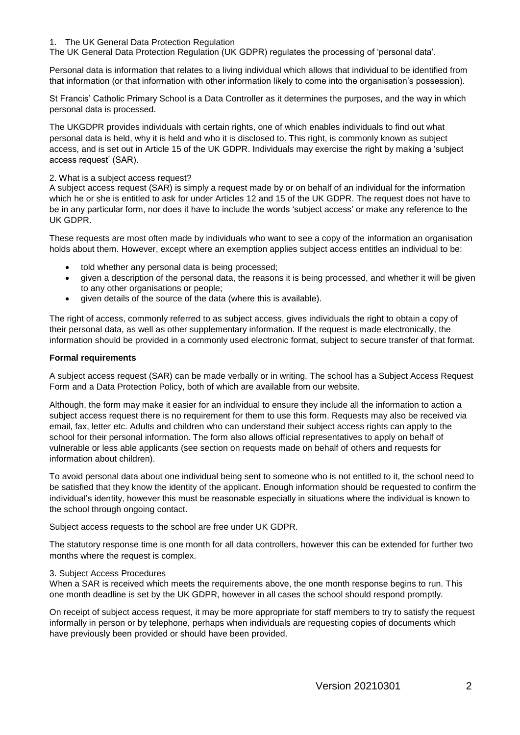#### 1. The UK General Data Protection Regulation

The UK General Data Protection Regulation (UK GDPR) regulates the processing of 'personal data'.

Personal data is information that relates to a living individual which allows that individual to be identified from that information (or that information with other information likely to come into the organisation's possession).

St Francis' Catholic Primary School is a Data Controller as it determines the purposes, and the way in which personal data is processed.

The UKGDPR provides individuals with certain rights, one of which enables individuals to find out what personal data is held, why it is held and who it is disclosed to. This right, is commonly known as subject access, and is set out in Article 15 of the UK GDPR. Individuals may exercise the right by making a 'subject access request' (SAR).

#### 2. What is a subject access request?

A subject access request (SAR) is simply a request made by or on behalf of an individual for the information which he or she is entitled to ask for under Articles 12 and 15 of the UK GDPR. The request does not have to be in any particular form, nor does it have to include the words 'subject access' or make any reference to the UK GDPR.

These requests are most often made by individuals who want to see a copy of the information an organisation holds about them. However, except where an exemption applies subject access entitles an individual to be:

- told whether any personal data is being processed;
- given a description of the personal data, the reasons it is being processed, and whether it will be given to any other organisations or people;
- given details of the source of the data (where this is available).

The right of access, commonly referred to as subject access, gives individuals the right to obtain a copy of their personal data, as well as other supplementary information. If the request is made electronically, the information should be provided in a commonly used electronic format, subject to secure transfer of that format.

#### **Formal requirements**

A subject access request (SAR) can be made verbally or in writing. The school has a Subject Access Request Form and a Data Protection Policy, both of which are available from our website.

Although, the form may make it easier for an individual to ensure they include all the information to action a subject access request there is no requirement for them to use this form. Requests may also be received via email, fax, letter etc. Adults and children who can understand their subject access rights can apply to the school for their personal information. The form also allows official representatives to apply on behalf of vulnerable or less able applicants (see section on requests made on behalf of others and requests for information about children).

To avoid personal data about one individual being sent to someone who is not entitled to it, the school need to be satisfied that they know the identity of the applicant. Enough information should be requested to confirm the individual's identity, however this must be reasonable especially in situations where the individual is known to the school through ongoing contact.

Subject access requests to the school are free under UK GDPR.

The statutory response time is one month for all data controllers, however this can be extended for further two months where the request is complex.

#### 3. Subject Access Procedures

When a SAR is received which meets the requirements above, the one month response begins to run. This one month deadline is set by the UK GDPR, however in all cases the school should respond promptly.

On receipt of subject access request, it may be more appropriate for staff members to try to satisfy the request informally in person or by telephone, perhaps when individuals are requesting copies of documents which have previously been provided or should have been provided.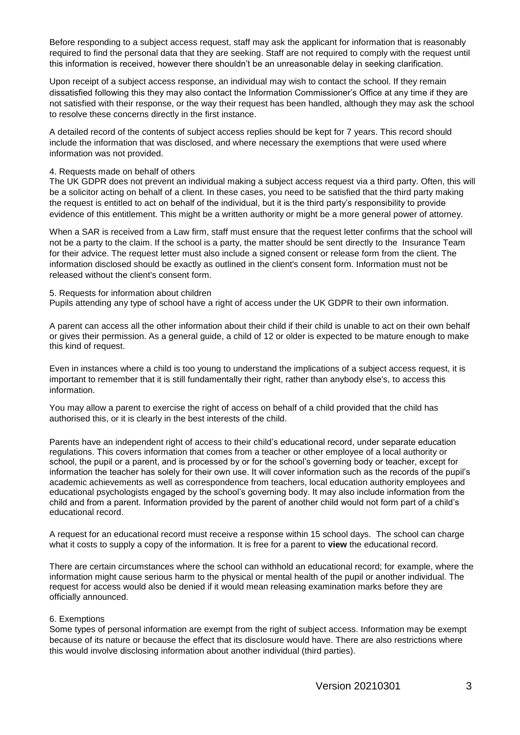Before responding to a subject access request, staff may ask the applicant for information that is reasonably required to find the personal data that they are seeking. Staff are not required to comply with the request until this information is received, however there shouldn't be an unreasonable delay in seeking clarification.

Upon receipt of a subject access response, an individual may wish to contact the school. If they remain dissatisfied following this they may also contact the Information Commissioner's Office at any time if they are not satisfied with their response, or the way their request has been handled, although they may ask the school to resolve these concerns directly in the first instance.

A detailed record of the contents of subject access replies should be kept for 7 years. This record should include the information that was disclosed, and where necessary the exemptions that were used where information was not provided.

#### 4. Requests made on behalf of others

The UK GDPR does not prevent an individual making a subject access request via a third party. Often, this will be a solicitor acting on behalf of a client. In these cases, you need to be satisfied that the third party making the request is entitled to act on behalf of the individual, but it is the third party's responsibility to provide evidence of this entitlement. This might be a written authority or might be a more general power of attorney.

When a SAR is received from a Law firm, staff must ensure that the request letter confirms that the school will not be a party to the claim. If the school is a party, the matter should be sent directly to the Insurance Team for their advice. The request letter must also include a signed consent or release form from the client. The information disclosed should be exactly as outlined in the client's consent form. Information must not be released without the client's consent form.

5. Requests for information about children Pupils attending any type of school have a right of access under the UK GDPR to their own information.

A parent can access all the other information about their child if their child is unable to act on their own behalf or gives their permission. As a general guide, a child of 12 or older is expected to be mature enough to make this kind of request.

Even in instances where a child is too young to understand the implications of a subject access request, it is important to remember that it is still fundamentally their right, rather than anybody else's, to access this information.

You may allow a parent to exercise the right of access on behalf of a child provided that the child has authorised this, or it is clearly in the best interests of the child.

Parents have an independent right of access to their child's educational record, under separate education regulations. This covers information that comes from a teacher or other employee of a local authority or school, the pupil or a parent, and is processed by or for the school's governing body or teacher, except for information the teacher has solely for their own use. It will cover information such as the records of the pupil's academic achievements as well as correspondence from teachers, local education authority employees and educational psychologists engaged by the school's governing body. It may also include information from the child and from a parent. Information provided by the parent of another child would not form part of a child's educational record.

A request for an educational record must receive a response within 15 school days. The school can charge what it costs to supply a copy of the information. It is free for a parent to **view** the educational record.

There are certain circumstances where the school can withhold an educational record; for example, where the information might cause serious harm to the physical or mental health of the pupil or another individual. The request for access would also be denied if it would mean releasing examination marks before they are officially announced.

#### 6. Exemptions

Some types of personal information are exempt from the right of subject access. Information may be exempt because of its nature or because the effect that its disclosure would have. There are also restrictions where this would involve disclosing information about another individual (third parties).